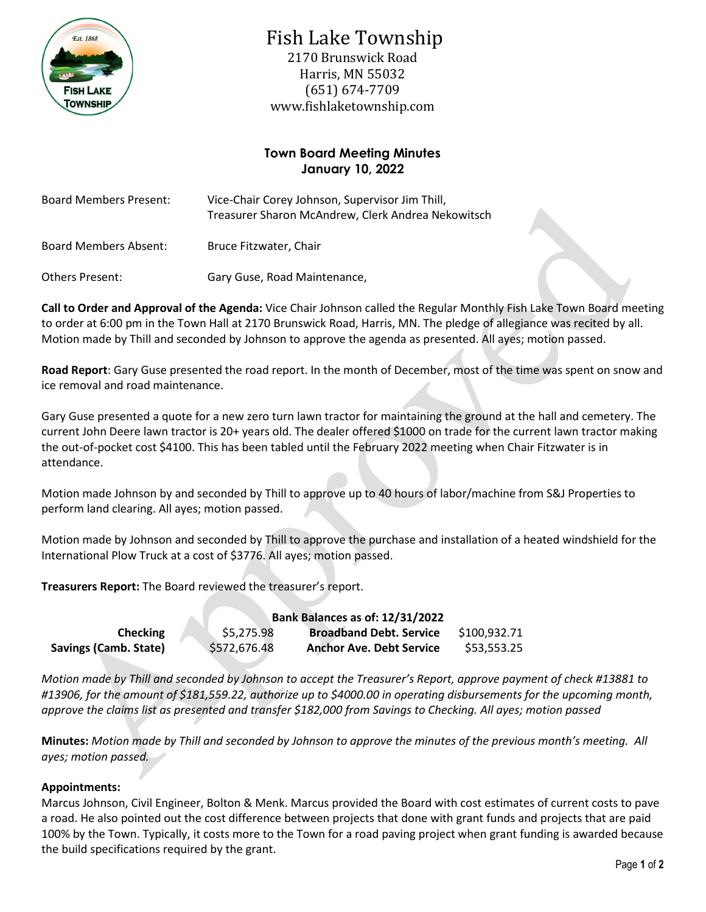

# Fish Lake Township

2170 Brunswick Road Harris, MN 55032 (651) 674-7709 www.fishlaketownship.com

## **Town Board Meeting Minutes January 10, 2022**

| <b>Board Members Present:</b> | Vice-Chair Corey Johnson, Supervisor Jim Thill,<br>Treasurer Sharon McAndrew, Clerk Andrea Nekowitsch |  |
|-------------------------------|-------------------------------------------------------------------------------------------------------|--|
| Board Members Absent:         | Bruce Fitzwater, Chair                                                                                |  |
| Others Present:               | Gary Guse, Road Maintenance,                                                                          |  |

**Call to Order and Approval of the Agenda:** Vice Chair Johnson called the Regular Monthly Fish Lake Town Board meeting to order at 6:00 pm in the Town Hall at 2170 Brunswick Road, Harris, MN. The pledge of allegiance was recited by all. Motion made by Thill and seconded by Johnson to approve the agenda as presented. All ayes; motion passed.

**Road Report**: Gary Guse presented the road report. In the month of December, most of the time was spent on snow and ice removal and road maintenance.

Gary Guse presented a quote for a new zero turn lawn tractor for maintaining the ground at the hall and cemetery. The current John Deere lawn tractor is 20+ years old. The dealer offered \$1000 on trade for the current lawn tractor making the out-of-pocket cost \$4100. This has been tabled until the February 2022 meeting when Chair Fitzwater is in attendance.

Motion made Johnson by and seconded by Thill to approve up to 40 hours of labor/machine from S&J Properties to perform land clearing. All ayes; motion passed.

Motion made by Johnson and seconded by Thill to approve the purchase and installation of a heated windshield for the International Plow Truck at a cost of \$3776. All ayes; motion passed.

**Treasurers Report:** The Board reviewed the treasurer's report.

|                              |              | Bank Balances as of: 12/31/2022 |                                 |              |  |  |
|------------------------------|--------------|---------------------------------|---------------------------------|--------------|--|--|
| <b>Checking</b>              | \$5,275.98   |                                 | <b>Broadband Debt. Service</b>  | \$100,932.71 |  |  |
| <b>Savings (Camb. State)</b> | \$572,676.48 |                                 | <b>Anchor Ave. Debt Service</b> | \$53,553.25  |  |  |

*Motion made by Thill and seconded by Johnson to accept the Treasurer's Report, approve payment of check #13881 to #13906, for the amount of \$181,559.22, authorize up to \$4000.00 in operating disbursements for the upcoming month, approve the claims list as presented and transfer \$182,000 from Savings to Checking. All ayes; motion passed*

**Minutes:** *Motion made by Thill and seconded by Johnson to approve the minutes of the previous month's meeting. All ayes; motion passed.*

### **Appointments:**

Marcus Johnson, Civil Engineer, Bolton & Menk. Marcus provided the Board with cost estimates of current costs to pave a road. He also pointed out the cost difference between projects that done with grant funds and projects that are paid 100% by the Town. Typically, it costs more to the Town for a road paving project when grant funding is awarded because the build specifications required by the grant.